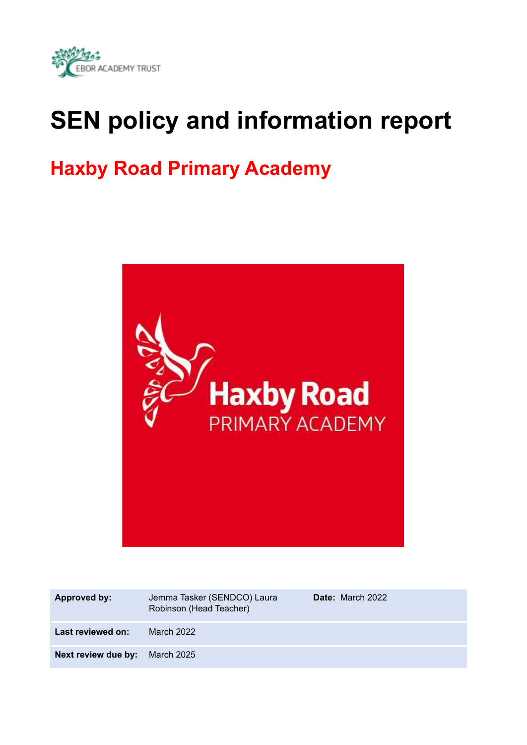

# **SEN policy and information report**

## **Haxby Road Primary Academy**



| Approved by:        | Jemma Tasker (SENDCO) Laura<br>Robinson (Head Teacher) | <b>Date:</b> March 2022 |
|---------------------|--------------------------------------------------------|-------------------------|
| Last reviewed on:   | March 2022                                             |                         |
| Next review due by: | <b>March 2025</b>                                      |                         |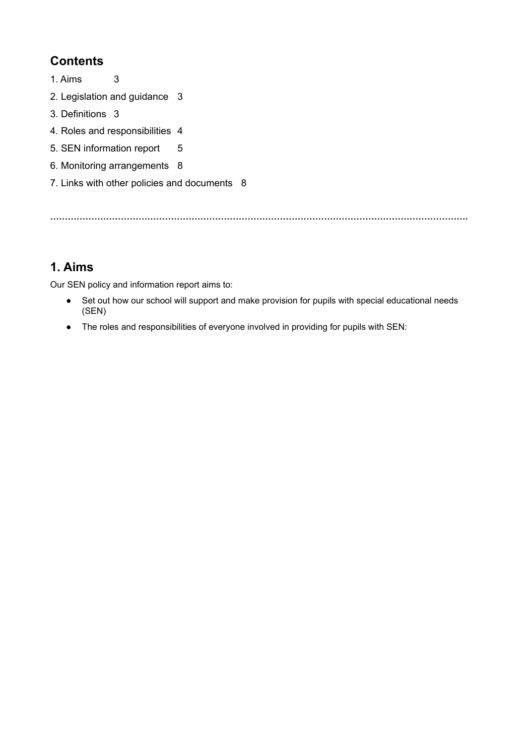## **Contents**

- 1. Aims [3](#page-1-0)
- 2. Legislation and guidance [3](#page-3-0)
- 3. Definitions [3](#page-3-1)
- 4. Roles and responsibilities 4
- 5. SEN information report 5
- 6. Monitoring arrangements 8
- 7. Links with other policies and documents 8

<span id="page-1-0"></span>**…………………………………………………………………………………………………………………………….**

## **1. Aims**

Our SEN policy and information report aims to:

- Set out how our school will support and make provision for pupils with special educational needs (SEN)
- The roles and responsibilities of everyone involved in providing for pupils with SEN: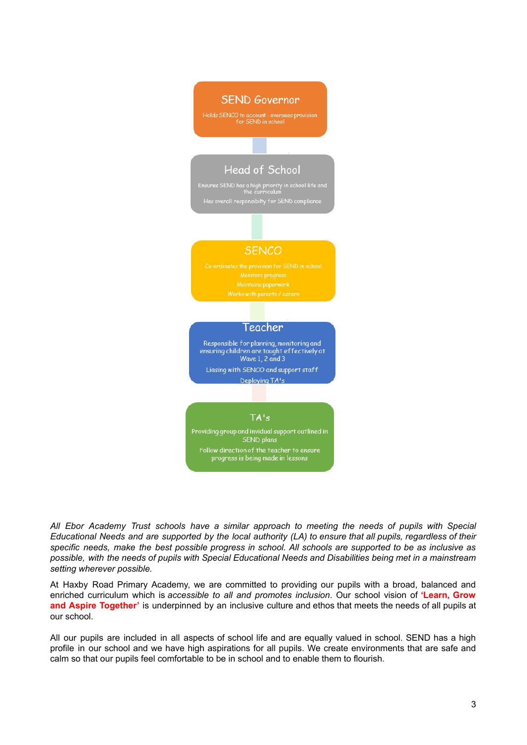

*All Ebor Academy Trust schools have a similar approach to meeting the needs of pupils with Special* Educational Needs and are supported by the local authority (LA) to ensure that all pupils, regardless of their specific needs, make the best possible progress in school. All schools are supported to be as inclusive as possible, with the needs of pupils with Special Educational Needs and Disabilities being met in a mainstream *setting wherever possible.*

At Haxby Road Primary Academy, we are committed to providing our pupils with a broad, balanced and enriched curriculum which is *accessible to all and promotes inclusion*. Our school vision of **'Learn, Grow and Aspire Together'** is underpinned by an inclusive culture and ethos that meets the needs of all pupils at our school.

All our pupils are included in all aspects of school life and are equally valued in school. SEND has a high profile in our school and we have high aspirations for all pupils. We create environments that are safe and calm so that our pupils feel comfortable to be in school and to enable them to flourish.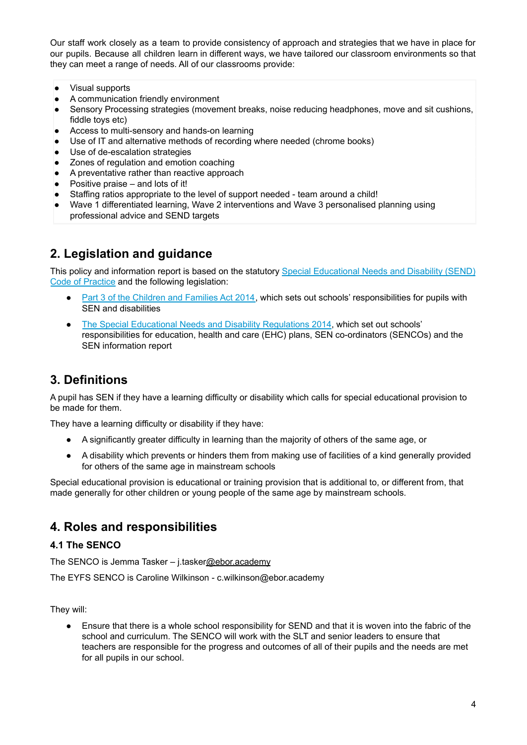Our staff work closely as a team to provide consistency of approach and strategies that we have in place for our pupils. Because all children learn in different ways, we have tailored our classroom environments so that they can meet a range of needs. All of our classrooms provide:

- Visual supports
- A communication friendly environment
- Sensory Processing strategies (movement breaks, noise reducing headphones, move and sit cushions, fiddle toys etc)
- Access to multi-sensory and hands-on learning
- Use of IT and alternative methods of recording where needed (chrome books)
- Use of de-escalation strategies
- Zones of regulation and emotion coaching
- A preventative rather than reactive approach
- Positive praise and lots of it!
- <span id="page-3-0"></span>Staffing ratios appropriate to the level of support needed - team around a child!
- Wave 1 differentiated learning, Wave 2 interventions and Wave 3 personalised planning using professional advice and SEND targets

## **2. Legislation and guidance**

This policy and information report is based on the statutory Special [Educational](https://www.gov.uk/government/uploads/system/uploads/attachment_data/file/398815/SEND_Code_of_Practice_January_2015.pdf) Needs and Disability (SEND) Code of [Practice](https://www.gov.uk/government/uploads/system/uploads/attachment_data/file/398815/SEND_Code_of_Practice_January_2015.pdf) and the following legislation:

- Part 3 of the [Children](http://www.legislation.gov.uk/ukpga/2014/6/part/3) and Families Act 2014, which sets out schools' responsibilities for pupils with SEN and disabilities
- <span id="page-3-1"></span>• The Special Educational Needs and Disability [Regulations](http://www.legislation.gov.uk/uksi/2014/1530/contents/made) 2014, which set out schools' responsibilities for education, health and care (EHC) plans, SEN co-ordinators (SENCOs) and the SEN information report

## **3. Definitions**

A pupil has SEN if they have a learning difficulty or disability which calls for special educational provision to be made for them.

They have a learning difficulty or disability if they have:

- A significantly greater difficulty in learning than the majority of others of the same age, or
- A disability which prevents or hinders them from making use of facilities of a kind generally provided for others of the same age in mainstream schools

Special educational provision is educational or training provision that is additional to, or different from, that made generally for other children or young people of the same age by mainstream schools.

## **4. Roles and responsibilities**

#### **4.1 The SENCO**

The SENCO is Jemma Tasker - j.taske[r@ebor.academy](mailto:mrstasker@hr.ebor.academy)

The EYFS SENCO is Caroline Wilkinson - c.wilkinson@ebor.academy

They will:

● Ensure that there is a whole school responsibility for SEND and that it is woven into the fabric of the school and curriculum. The SENCO will work with the SLT and senior leaders to ensure that teachers are responsible for the progress and outcomes of all of their pupils and the needs are met for all pupils in our school.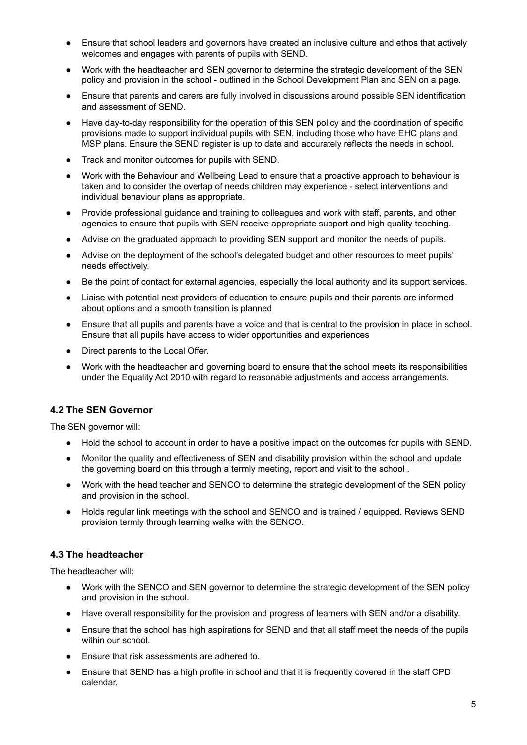- Ensure that school leaders and governors have created an inclusive culture and ethos that actively welcomes and engages with parents of pupils with SEND.
- Work with the headteacher and SEN governor to determine the strategic development of the SEN policy and provision in the school - outlined in the School Development Plan and SEN on a page.
- Ensure that parents and carers are fully involved in discussions around possible SEN identification and assessment of SEND.
- Have day-to-day responsibility for the operation of this SEN policy and the coordination of specific provisions made to support individual pupils with SEN, including those who have EHC plans and MSP plans. Ensure the SEND register is up to date and accurately reflects the needs in school.
- Track and monitor outcomes for pupils with SEND.
- Work with the Behaviour and Wellbeing Lead to ensure that a proactive approach to behaviour is taken and to consider the overlap of needs children may experience - select interventions and individual behaviour plans as appropriate.
- Provide professional guidance and training to colleagues and work with staff, parents, and other agencies to ensure that pupils with SEN receive appropriate support and high quality teaching.
- Advise on the graduated approach to providing SEN support and monitor the needs of pupils.
- Advise on the deployment of the school's delegated budget and other resources to meet pupils' needs effectively.
- Be the point of contact for external agencies, especially the local authority and its support services.
- Liaise with potential next providers of education to ensure pupils and their parents are informed about options and a smooth transition is planned
- Ensure that all pupils and parents have a voice and that is central to the provision in place in school. Ensure that all pupils have access to wider opportunities and experiences
- Direct parents to the Local Offer.
- Work with the headteacher and governing board to ensure that the school meets its responsibilities under the Equality Act 2010 with regard to reasonable adjustments and access arrangements.

#### **4.2 The SEN Governor**

The SEN governor will:

- Hold the school to account in order to have a positive impact on the outcomes for pupils with SEND.
- Monitor the quality and effectiveness of SEN and disability provision within the school and update the governing board on this through a termly meeting, report and visit to the school .
- Work with the head teacher and SENCO to determine the strategic development of the SEN policy and provision in the school.
- Holds regular link meetings with the school and SENCO and is trained / equipped. Reviews SEND provision termly through learning walks with the SENCO.

#### **4.3 The headteacher**

The headteacher will:

- Work with the SENCO and SEN governor to determine the strategic development of the SEN policy and provision in the school.
- Have overall responsibility for the provision and progress of learners with SEN and/or a disability.
- Ensure that the school has high aspirations for SEND and that all staff meet the needs of the pupils within our school.
- Ensure that risk assessments are adhered to.
- Ensure that SEND has a high profile in school and that it is frequently covered in the staff CPD calendar.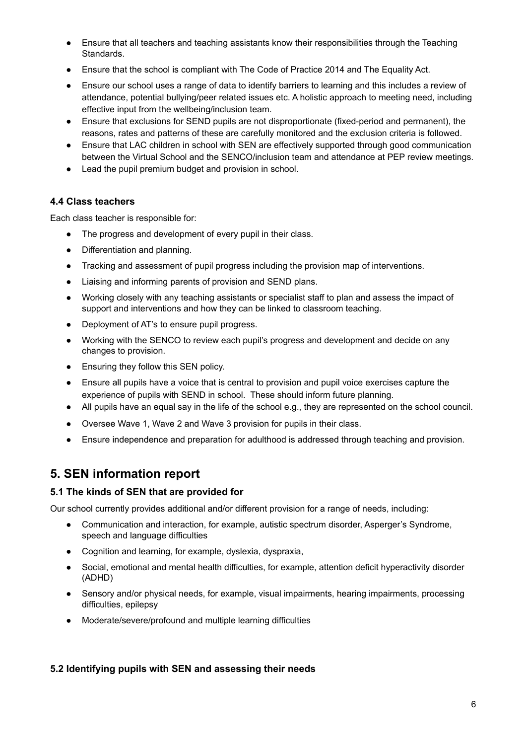- Ensure that all teachers and teaching assistants know their responsibilities through the Teaching Standards.
- Ensure that the school is compliant with The Code of Practice 2014 and The Equality Act.
- Ensure our school uses a range of data to identify barriers to learning and this includes a review of attendance, potential bullying/peer related issues etc. A holistic approach to meeting need, including effective input from the wellbeing/inclusion team.
- Ensure that exclusions for SEND pupils are not disproportionate (fixed-period and permanent), the reasons, rates and patterns of these are carefully monitored and the exclusion criteria is followed.
- Ensure that LAC children in school with SEN are effectively supported through good communication between the Virtual School and the SENCO/inclusion team and attendance at PEP review meetings.
- Lead the pupil premium budget and provision in school.

#### **4.4 Class teachers**

Each class teacher is responsible for:

- The progress and development of every pupil in their class.
- Differentiation and planning.
- Tracking and assessment of pupil progress including the provision map of interventions.
- Liaising and informing parents of provision and SEND plans.
- Working closely with any teaching assistants or specialist staff to plan and assess the impact of support and interventions and how they can be linked to classroom teaching.
- Deployment of AT's to ensure pupil progress.
- Working with the SENCO to review each pupil's progress and development and decide on any changes to provision.
- Ensuring they follow this SEN policy.
- Ensure all pupils have a voice that is central to provision and pupil voice exercises capture the experience of pupils with SEND in school. These should inform future planning.
- All pupils have an equal say in the life of the school e.g., they are represented on the school council.
- Oversee Wave 1, Wave 2 and Wave 3 provision for pupils in their class.
- Ensure independence and preparation for adulthood is addressed through teaching and provision.

## **5. SEN information report**

#### **5.1 The kinds of SEN that are provided for**

Our school currently provides additional and/or different provision for a range of needs, including:

- Communication and interaction, for example, autistic spectrum disorder, Asperger's Syndrome, speech and language difficulties
- Cognition and learning, for example, dyslexia, dyspraxia,
- Social, emotional and mental health difficulties, for example, attention deficit hyperactivity disorder (ADHD)
- Sensory and/or physical needs, for example, visual impairments, hearing impairments, processing difficulties, epilepsy
- Moderate/severe/profound and multiple learning difficulties

#### **5.2 Identifying pupils with SEN and assessing their needs**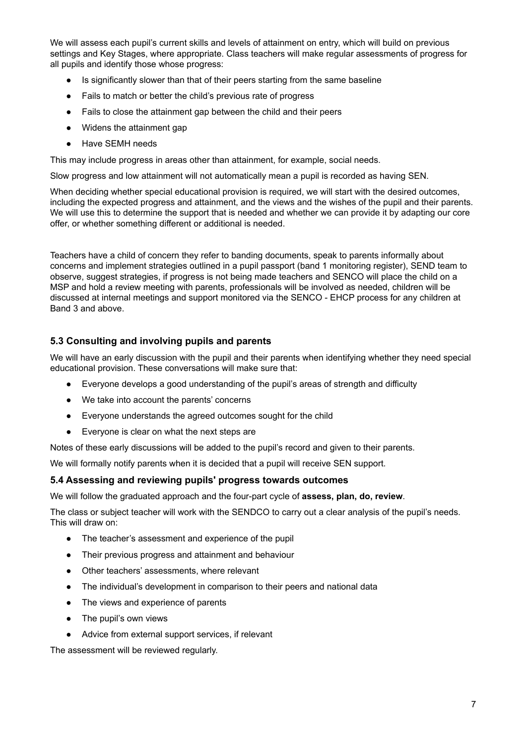We will assess each pupil's current skills and levels of attainment on entry, which will build on previous settings and Key Stages, where appropriate. Class teachers will make regular assessments of progress for all pupils and identify those whose progress:

- Is significantly slower than that of their peers starting from the same baseline
- Fails to match or better the child's previous rate of progress
- Fails to close the attainment gap between the child and their peers
- Widens the attainment gap
- Have SEMH needs

This may include progress in areas other than attainment, for example, social needs.

Slow progress and low attainment will not automatically mean a pupil is recorded as having SEN.

When deciding whether special educational provision is required, we will start with the desired outcomes, including the expected progress and attainment, and the views and the wishes of the pupil and their parents. We will use this to determine the support that is needed and whether we can provide it by adapting our core offer, or whether something different or additional is needed.

Teachers have a child of concern they refer to banding documents, speak to parents informally about concerns and implement strategies outlined in a pupil passport (band 1 monitoring register), SEND team to observe, suggest strategies, if progress is not being made teachers and SENCO will place the child on a MSP and hold a review meeting with parents, professionals will be involved as needed, children will be discussed at internal meetings and support monitored via the SENCO - EHCP process for any children at Band 3 and above.

#### **5.3 Consulting and involving pupils and parents**

We will have an early discussion with the pupil and their parents when identifying whether they need special educational provision. These conversations will make sure that:

- Everyone develops a good understanding of the pupil's areas of strength and difficulty
- We take into account the parents' concerns
- Everyone understands the agreed outcomes sought for the child
- Everyone is clear on what the next steps are

Notes of these early discussions will be added to the pupil's record and given to their parents.

We will formally notify parents when it is decided that a pupil will receive SEN support.

#### **5.4 Assessing and reviewing pupils' progress towards outcomes**

We will follow the graduated approach and the four-part cycle of **assess, plan, do, review**.

The class or subject teacher will work with the SENDCO to carry out a clear analysis of the pupil's needs. This will draw on:

- The teacher's assessment and experience of the pupil
- Their previous progress and attainment and behaviour
- Other teachers' assessments, where relevant
- The individual's development in comparison to their peers and national data
- The views and experience of parents
- The pupil's own views
- Advice from external support services, if relevant

The assessment will be reviewed regularly.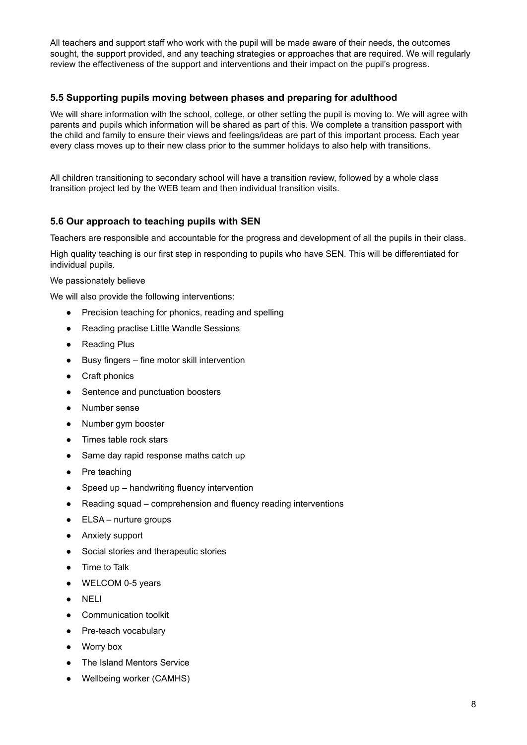All teachers and support staff who work with the pupil will be made aware of their needs, the outcomes sought, the support provided, and any teaching strategies or approaches that are required. We will regularly review the effectiveness of the support and interventions and their impact on the pupil's progress.

#### **5.5 Supporting pupils moving between phases and preparing for adulthood**

We will share information with the school, college, or other setting the pupil is moving to. We will agree with parents and pupils which information will be shared as part of this. We complete a transition passport with the child and family to ensure their views and feelings/ideas are part of this important process. Each year every class moves up to their new class prior to the summer holidays to also help with transitions.

All children transitioning to secondary school will have a transition review, followed by a whole class transition project led by the WEB team and then individual transition visits.

#### **5.6 Our approach to teaching pupils with SEN**

Teachers are responsible and accountable for the progress and development of all the pupils in their class.

High quality teaching is our first step in responding to pupils who have SEN. This will be differentiated for individual pupils.

#### We passionately believe

We will also provide the following interventions:

- Precision teaching for phonics, reading and spelling
- Reading practise Little Wandle Sessions
- Reading Plus
- Busy fingers fine motor skill intervention
- Craft phonics
- Sentence and punctuation boosters
- Number sense
- Number gym booster
- Times table rock stars
- Same day rapid response maths catch up
- Pre teaching
- Speed up handwriting fluency intervention
- Reading squad comprehension and fluency reading interventions
- $\bullet$  ELSA nurture groups
- Anxiety support
- Social stories and therapeutic stories
- Time to Talk
- WELCOM 0-5 years
- NELI
- Communication toolkit
- Pre-teach vocabulary
- Worry box
- The Island Mentors Service
- Wellbeing worker (CAMHS)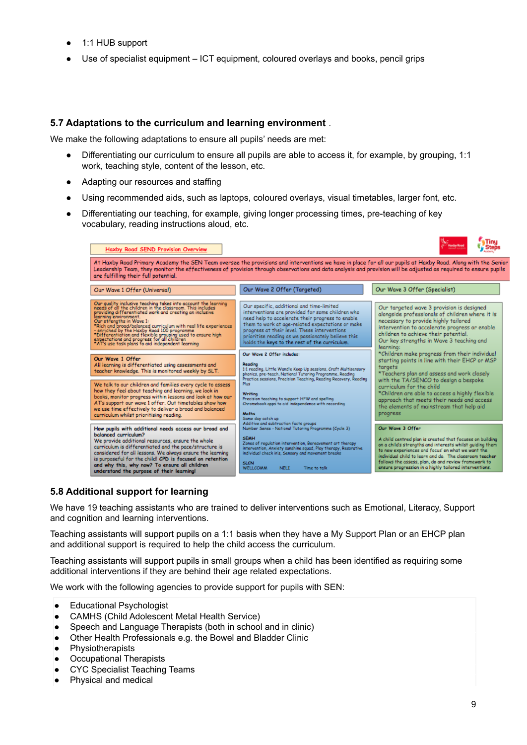- 1:1 HUB support
- Use of specialist equipment  $-$  ICT equipment, coloured overlays and books, pencil grips

#### **5.7 Adaptations to the curriculum and learning environment** .

We make the following adaptations to ensure all pupils' needs are met:

- Differentiating our curriculum to ensure all pupils are able to access it, for example, by grouping, 1:1 work, teaching style, content of the lesson, etc.
- Adapting our resources and staffing
- Using recommended aids, such as laptops, coloured overlays, visual timetables, larger font, etc.
- Differentiating our teaching, for example, giving longer processing times, pre-teaching of key vocabulary, reading instructions aloud, etc.

| Haxby Road SEND Provision Overview                                                                                                                                                                                                                                                                                                                                                                                                                                                                                          |                                                                                                                                                                                                                                                                                                                                                                     | <b>Haxdy Road</b><br><sup>t</sup> Steps                                                                                                                                                                                                                                                                                                                                     |  |  |
|-----------------------------------------------------------------------------------------------------------------------------------------------------------------------------------------------------------------------------------------------------------------------------------------------------------------------------------------------------------------------------------------------------------------------------------------------------------------------------------------------------------------------------|---------------------------------------------------------------------------------------------------------------------------------------------------------------------------------------------------------------------------------------------------------------------------------------------------------------------------------------------------------------------|-----------------------------------------------------------------------------------------------------------------------------------------------------------------------------------------------------------------------------------------------------------------------------------------------------------------------------------------------------------------------------|--|--|
| At Haxby Road Primary Academy the SEN Team oversee the provisions and interventions we have in place for all our pupils at Haxby Road. Along with the Seni<br>Leadership Team, they monitor the effectiveness of provision through observations and data analysis and provision will be adjusted as required to ensure pupil:<br>are fulfilling their full potential.                                                                                                                                                       |                                                                                                                                                                                                                                                                                                                                                                     |                                                                                                                                                                                                                                                                                                                                                                             |  |  |
| Our Wave 1 Offer (Universal)                                                                                                                                                                                                                                                                                                                                                                                                                                                                                                | Our Wave 2 Offer (Targeted)                                                                                                                                                                                                                                                                                                                                         | Our Wave 3 Offer (Specialist)                                                                                                                                                                                                                                                                                                                                               |  |  |
| Our quality inclusive teaching takes into account the learning<br>needs of all the children in the classroom. This includes<br>providing differentiated work and creating an inclusive<br>learning environment.<br>Our strengths in Wave 1:<br>*Rich and broad/balanced curriculum with real life experiences<br>- enriched by the Haxby Road 100 programme<br>*Differentiation and flexible grouping used to ensure high<br>expectations and progress for all children<br>*AT's use task plans fo aid independent learning | Our specific, additional and time-limited<br>interventions are provided for some children who<br>need help to accelerate their progress to enable<br>them to work at age-related expectations or make<br>progress at their level. These interventions<br>prioritise reading as we passionately believe this<br>holds the keys to the rest of the curriculum.        | Our targeted wave 3 provision is designed<br>alongside professionals of children where it is<br>necessary to provide highly tailored<br>intervention to accelerate progress or enable<br>children to achieve their potential.<br>Our key strengths in Wave 3 teaching and<br>learning:                                                                                      |  |  |
| Our Wave 1 Offer<br>All learning is differentiated using assessments and<br>teacher knowledge. This is monitored weekly by SLT.                                                                                                                                                                                                                                                                                                                                                                                             | Our Wave 2 Offer includes:<br>Readiro<br>1:1 reading, Little Wandle Keep Up sessions, Craft Multisensory.<br>phonics, pre-teach, National Tutoring Programme, Reading<br>Practice sessions, Precision Teaching, Reading Recovery, Reading                                                                                                                           | *Children make progress from their individual<br>starting points in line with their EHCP or MSP<br>targets<br>*Teachers plan and assess and work closely                                                                                                                                                                                                                    |  |  |
| We talk to our children and families every cycle to assess<br>how they feel about teaching and learning, we look in<br>books, monitor progress within lessons and look at how our<br>AT's support our wave 1 offer. Out timetables show how<br>we use time effectively to deliver a broad and balanced<br>curriculum whilst prioritising reading.                                                                                                                                                                           | Plus:<br>Writing<br>Precision teaching to support HFW and spelling<br>Chromebook apps to aid independence with recording<br>Maths<br>Same day catch up                                                                                                                                                                                                              | with the TA/SENCO to design a bespoke<br>curriculum for the child<br>*Children are able to access a highly flexible<br>approach that meets their needs and access<br>the elements of mainstream that help aid<br>progress                                                                                                                                                   |  |  |
| How pupils with additional needs access our broad and<br>balanced curriculum?<br>We provide additional resources, ensure the whole<br>curriculum is differentiated and the pace/structure is<br>considered for all lessons. We always ensure the learning<br>is purposeful for the child! CPD is focused on retention<br>and why this, why now? To ensure all children<br>understand the nurnase of their learning!                                                                                                         | Additive and subtraction facts groups<br>Number Sense - National Tutoring Programme (Cycle 3)<br><b>SEMH</b><br>Zones of regulation intervention, Bereavement art therapy<br>intervention, Anxiety sunshine squad, Play therapy, Resorative.<br>individual check in's, Sensory and movement breaks<br><b>SLCN</b><br><b>WELLCOMM</b><br><b>NELT</b><br>Time to talk | Our Wave 3 Offer<br>A child centred plan is created that focuses on building<br>on a child's strengths and interests whilst quiding them.<br>to new experiences and focus' on what we want the<br>individual child to learn and do. The classroom teacher<br>follows the assess, plan, do and review framework to<br>ensure progression in a highly tailored interventions. |  |  |

#### **5.8 Additional support for learning**

We have 19 teaching assistants who are trained to deliver interventions such as Emotional, Literacy, Support and cognition and learning interventions.

Teaching assistants will support pupils on a 1:1 basis when they have a My Support Plan or an EHCP plan and additional support is required to help the child access the curriculum.

Teaching assistants will support pupils in small groups when a child has been identified as requiring some additional interventions if they are behind their age related expectations.

We work with the following agencies to provide support for pupils with SEN:

- Educational Psychologist
- CAMHS (Child Adolescent Metal Health Service)
- Speech and Language Therapists (both in school and in clinic)
- Other Health Professionals e.g. the Bowel and Bladder Clinic
- Physiotherapists
- Occupational Therapists
- CYC Specialist Teaching Teams
- Physical and medical

×

 $\ell$  . Then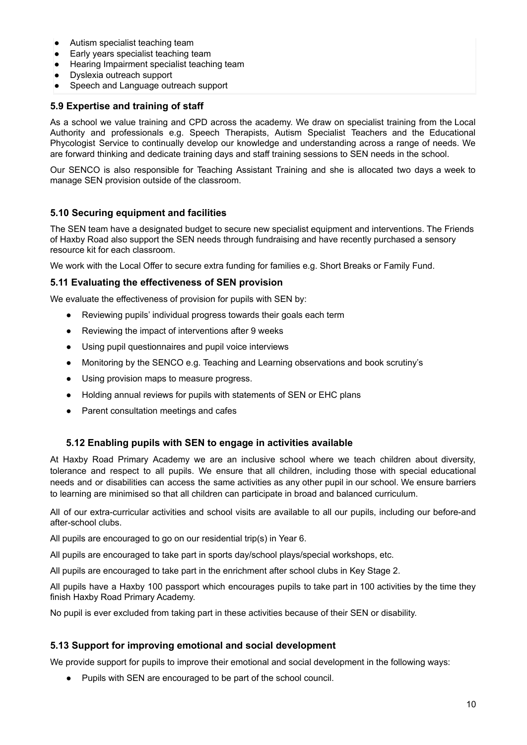- Autism specialist teaching team
- Early years specialist teaching team<br>● Hearing Impairment specialist teachi
- Hearing Impairment specialist teaching team
- Dyslexia outreach support
- Speech and Language outreach support

#### **5.9 Expertise and training of staff**

As a school we value training and CPD across the academy. We draw on specialist training from the Local Authority and professionals e.g. Speech Therapists, Autism Specialist Teachers and the Educational Phycologist Service to continually develop our knowledge and understanding across a range of needs. We are forward thinking and dedicate training days and staff training sessions to SEN needs in the school.

Our SENCO is also responsible for Teaching Assistant Training and she is allocated two days a week to manage SEN provision outside of the classroom.

#### **5.10 Securing equipment and facilities**

The SEN team have a designated budget to secure new specialist equipment and interventions. The Friends of Haxby Road also support the SEN needs through fundraising and have recently purchased a sensory resource kit for each classroom.

We work with the Local Offer to secure extra funding for families e.g. Short Breaks or Family Fund.

#### **5.11 Evaluating the effectiveness of SEN provision**

We evaluate the effectiveness of provision for pupils with SEN by:

- Reviewing pupils' individual progress towards their goals each term
- Reviewing the impact of interventions after 9 weeks
- Using pupil questionnaires and pupil voice interviews
- Monitoring by the SENCO e.g. Teaching and Learning observations and book scrutiny's
- Using provision maps to measure progress.
- Holding annual reviews for pupils with statements of SEN or EHC plans
- Parent consultation meetings and cafes

#### **5.12 Enabling pupils with SEN to engage in activities available**

At Haxby Road Primary Academy we are an inclusive school where we teach children about diversity, tolerance and respect to all pupils. We ensure that all children, including those with special educational needs and or disabilities can access the same activities as any other pupil in our school. We ensure barriers to learning are minimised so that all children can participate in broad and balanced curriculum.

All of our extra-curricular activities and school visits are available to all our pupils, including our before-and after-school clubs.

All pupils are encouraged to go on our residential trip(s) in Year 6.

All pupils are encouraged to take part in sports day/school plays/special workshops, etc.

All pupils are encouraged to take part in the enrichment after school clubs in Key Stage 2.

All pupils have a Haxby 100 passport which encourages pupils to take part in 100 activities by the time they finish Haxby Road Primary Academy.

No pupil is ever excluded from taking part in these activities because of their SEN or disability.

#### **5.13 Support for improving emotional and social development**

We provide support for pupils to improve their emotional and social development in the following ways:

● Pupils with SEN are encouraged to be part of the school council.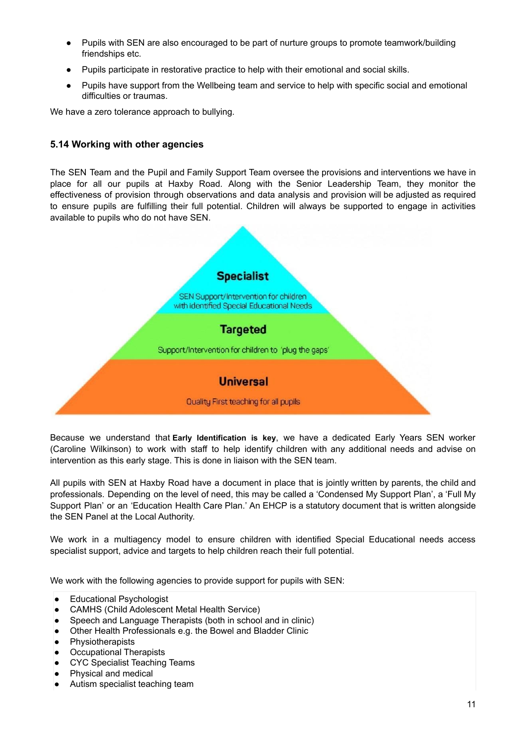- Pupils with SEN are also encouraged to be part of nurture groups to promote teamwork/building friendships etc.
- Pupils participate in restorative practice to help with their emotional and social skills.
- Pupils have support from the Wellbeing team and service to help with specific social and emotional difficulties or traumas.

We have a zero tolerance approach to bullying.

#### **5.14 Working with other agencies**

The SEN Team and the Pupil and Family Support Team oversee the provisions and interventions we have in place for all our pupils at Haxby Road. Along with the Senior Leadership Team, they monitor the effectiveness of provision through observations and data analysis and provision will be adjusted as required to ensure pupils are fulfilling their full potential. Children will always be supported to engage in activities available to pupils who do not have SEN.



Because we understand that **Early Identification is key**, we have a dedicated Early Years SEN worker (Caroline Wilkinson) to work with staff to help identify children with any additional needs and advise on intervention as this early stage. This is done in liaison with the SEN team.

All pupils with SEN at Haxby Road have a document in place that is jointly written by parents, the child and professionals. Depending on the level of need, this may be called a 'Condensed My Support Plan', a 'Full My Support Plan' or an 'Education Health Care Plan.' An EHCP is a statutory document that is written alongside the SEN Panel at the Local Authority.

We work in a multiagency model to ensure children with identified Special Educational needs access specialist support, advice and targets to help children reach their full potential.

We work with the following agencies to provide support for pupils with SEN:

- Educational Psychologist
- CAMHS (Child Adolescent Metal Health Service)
- Speech and Language Therapists (both in school and in clinic)
- Other Health Professionals e.g. the Bowel and Bladder Clinic
- Physiotherapists
- **Occupational Therapists**
- CYC Specialist Teaching Teams
- Physical and medical
- Autism specialist teaching team